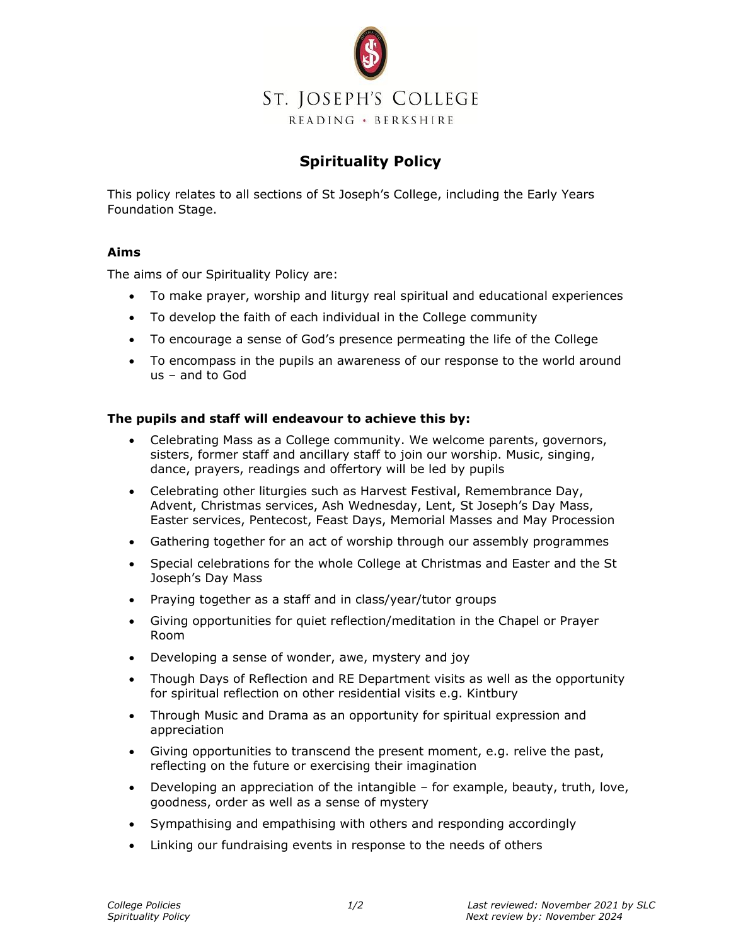

## **Spirituality Policy**

This policy relates to all sections of St Joseph's College, including the Early Years Foundation Stage.

## **Aims**

The aims of our Spirituality Policy are:

- To make prayer, worship and liturgy real spiritual and educational experiences
- To develop the faith of each individual in the College community
- To encourage a sense of God's presence permeating the life of the College
- To encompass in the pupils an awareness of our response to the world around us – and to God

## **The pupils and staff will endeavour to achieve this by:**

- Celebrating Mass as a College community. We welcome parents, governors, sisters, former staff and ancillary staff to join our worship. Music, singing, dance, prayers, readings and offertory will be led by pupils
- Celebrating other liturgies such as Harvest Festival, Remembrance Day, Advent, Christmas services, Ash Wednesday, Lent, St Joseph's Day Mass, Easter services, Pentecost, Feast Days, Memorial Masses and May Procession
- Gathering together for an act of worship through our assembly programmes
- Special celebrations for the whole College at Christmas and Easter and the St Joseph's Day Mass
- Praying together as a staff and in class/year/tutor groups
- Giving opportunities for quiet reflection/meditation in the Chapel or Prayer Room
- Developing a sense of wonder, awe, mystery and joy
- Though Days of Reflection and RE Department visits as well as the opportunity for spiritual reflection on other residential visits e.g. Kintbury
- Through Music and Drama as an opportunity for spiritual expression and appreciation
- Giving opportunities to transcend the present moment, e.g. relive the past, reflecting on the future or exercising their imagination
- Developing an appreciation of the intangible for example, beauty, truth, love, goodness, order as well as a sense of mystery
- Sympathising and empathising with others and responding accordingly
- Linking our fundraising events in response to the needs of others